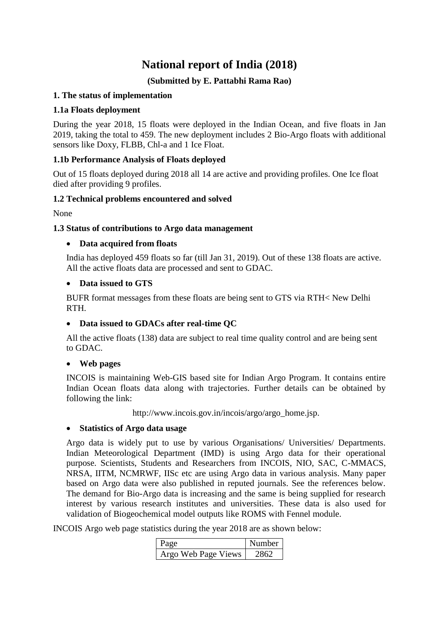# **National report of India (2018)**

# **(Submitted by E. Pattabhi Rama Rao)**

# **1. The status of implementation**

## **1.1a Floats deployment**

During the year 2018, 15 floats were deployed in the Indian Ocean, and five floats in Jan 2019, taking the total to 459. The new deployment includes 2 Bio-Argo floats with additional sensors like Doxy, FLBB, Chl-a and 1 Ice Float.

## **1.1b Performance Analysis of Floats deployed**

Out of 15 floats deployed during 2018 all 14 are active and providing profiles. One Ice float died after providing 9 profiles.

## **1.2 Technical problems encountered and solved**

None

## **1.3 Status of contributions to Argo data management**

## **Data acquired from floats**

India has deployed 459 floats so far (till Jan 31, 2019). Out of these 138 floats are active. All the active floats data are processed and sent to GDAC.

#### **Data issued to GTS**

BUFR format messages from these floats are being sent to GTS via RTH< New Delhi RTH.

## **Data issued to GDACs after real-time QC**

All the active floats (138) data are subject to real time quality control and are being sent to GDAC.

#### **Web pages**

INCOIS is maintaining Web-GIS based site for Indian Argo Program. It contains entire Indian Ocean floats data along with trajectories. Further details can be obtained by following the link:

http://www.incois.gov.in/incois/argo/argo\_home.jsp.

#### **Statistics of Argo data usage**

Argo data is widely put to use by various Organisations/ Universities/ Departments. Indian Meteorological Department (IMD) is using Argo data for their operational purpose. Scientists, Students and Researchers from INCOIS, NIO, SAC, C-MMACS, NRSA, IITM, NCMRWF, IISc etc are using Argo data in various analysis. Many paper based on Argo data were also published in reputed journals. See the references below. The demand for Bio-Argo data is increasing and the same is being supplied for research interest by various research institutes and universities. These data is also used for validation of Biogeochemical model outputs like ROMS with Fennel module.

INCOIS Argo web page statistics during the year 2018 are as shown below:

| Page                | Number |
|---------------------|--------|
| Argo Web Page Views |        |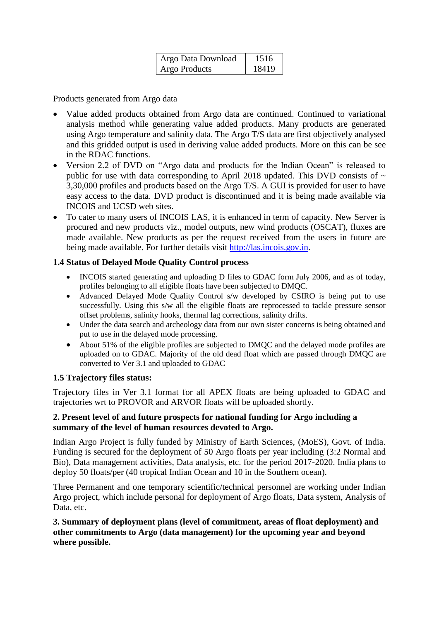| Argo Data Download | 1516  |
|--------------------|-------|
| Argo Products      | 18419 |

Products generated from Argo data

- Value added products obtained from Argo data are continued. Continued to variational analysis method while generating value added products. Many products are generated using Argo temperature and salinity data. The Argo T/S data are first objectively analysed and this gridded output is used in deriving value added products. More on this can be see in the RDAC functions.
- Version 2.2 of DVD on "Argo data and products for the Indian Ocean" is released to public for use with data corresponding to April 2018 updated. This DVD consists of  $\sim$ 3,30,000 profiles and products based on the Argo T/S. A GUI is provided for user to have easy access to the data. DVD product is discontinued and it is being made available via INCOIS and UCSD web sites.
- To cater to many users of INCOIS LAS, it is enhanced in term of capacity. New Server is procured and new products viz., model outputs, new wind products (OSCAT), fluxes are made available. New products as per the request received from the users in future are being made available. For further details visit [http://las.incois.gov.in.](http://las.incois.gov.in/)

# **1.4 Status of Delayed Mode Quality Control process**

- INCOIS started generating and uploading D files to GDAC form July 2006, and as of today, profiles belonging to all eligible floats have been subjected to DMQC.
- Advanced Delayed Mode Quality Control s/w developed by CSIRO is being put to use successfully. Using this s/w all the eligible floats are reprocessed to tackle pressure sensor offset problems, salinity hooks, thermal lag corrections, salinity drifts.
- Under the data search and archeology data from our own sister concerns is being obtained and put to use in the delayed mode processing.
- About 51% of the eligible profiles are subjected to DMOC and the delayed mode profiles are uploaded on to GDAC. Majority of the old dead float which are passed through DMQC are converted to Ver 3.1 and uploaded to GDAC

## **1.5 Trajectory files status:**

Trajectory files in Ver 3.1 format for all APEX floats are being uploaded to GDAC and trajectories wrt to PROVOR and ARVOR floats will be uploaded shortly.

## **2. Present level of and future prospects for national funding for Argo including a summary of the level of human resources devoted to Argo.**

Indian Argo Project is fully funded by Ministry of Earth Sciences, (MoES), Govt. of India. Funding is secured for the deployment of 50 Argo floats per year including (3:2 Normal and Bio), Data management activities, Data analysis, etc. for the period 2017-2020. India plans to deploy 50 floats/per (40 tropical Indian Ocean and 10 in the Southern ocean).

Three Permanent and one temporary scientific/technical personnel are working under Indian Argo project, which include personal for deployment of Argo floats, Data system, Analysis of Data, etc.

## **3. Summary of deployment plans (level of commitment, areas of float deployment) and other commitments to Argo (data management) for the upcoming year and beyond where possible.**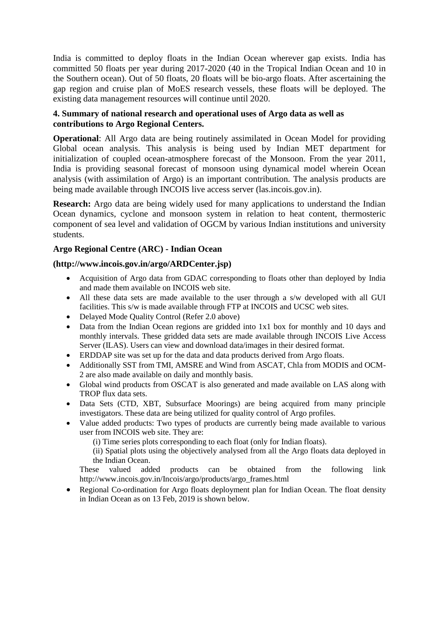India is committed to deploy floats in the Indian Ocean wherever gap exists. India has committed 50 floats per year during 2017-2020 (40 in the Tropical Indian Ocean and 10 in the Southern ocean). Out of 50 floats, 20 floats will be bio-argo floats. After ascertaining the gap region and cruise plan of MoES research vessels, these floats will be deployed. The existing data management resources will continue until 2020.

## **4. Summary of national research and operational uses of Argo data as well as contributions to Argo Regional Centers.**

**Operational**: All Argo data are being routinely assimilated in Ocean Model for providing Global ocean analysis. This analysis is being used by Indian MET department for initialization of coupled ocean-atmosphere forecast of the Monsoon. From the year 2011, India is providing seasonal forecast of monsoon using dynamical model wherein Ocean analysis (with assimilation of Argo) is an important contribution. The analysis products are being made available through INCOIS live access server (las.incois.gov.in).

**Research:** Argo data are being widely used for many applications to understand the Indian Ocean dynamics, cyclone and monsoon system in relation to heat content, thermosteric component of sea level and validation of OGCM by various Indian institutions and university students.

## **Argo Regional Centre (ARC) - Indian Ocean**

## **(http://www.incois.gov.in/argo/ARDCenter.jsp)**

- Acquisition of Argo data from GDAC corresponding to floats other than deployed by India and made them available on INCOIS web site.
- All these data sets are made available to the user through a s/w developed with all GUI facilities. This s/w is made available through FTP at INCOIS and UCSC web sites.
- Delayed Mode Quality Control (Refer 2.0 above)
- Data from the Indian Ocean regions are gridded into 1x1 box for monthly and 10 days and monthly intervals. These gridded data sets are made available through INCOIS Live Access Server (ILAS). Users can view and download data/images in their desired format.
- ERDDAP site was set up for the data and data products derived from Argo floats.
- Additionally SST from TMI, AMSRE and Wind from ASCAT, Chla from MODIS and OCM-2 are also made available on daily and monthly basis.
- Global wind products from OSCAT is also generated and made available on LAS along with TROP flux data sets.
- Data Sets (CTD, XBT, Subsurface Moorings) are being acquired from many principle investigators. These data are being utilized for quality control of Argo profiles.
- Value added products: Two types of products are currently being made available to various user from INCOIS web site. They are:

(i) Time series plots corresponding to each float (only for Indian floats).

(ii) Spatial plots using the objectively analysed from all the Argo floats data deployed in the Indian Ocean.

These valued added products can be obtained from the following link http://www.incois.gov.in/Incois/argo/products/argo\_frames.html

• Regional Co-ordination for Argo floats deployment plan for Indian Ocean. The float density in Indian Ocean as on 13 Feb, 2019 is shown below.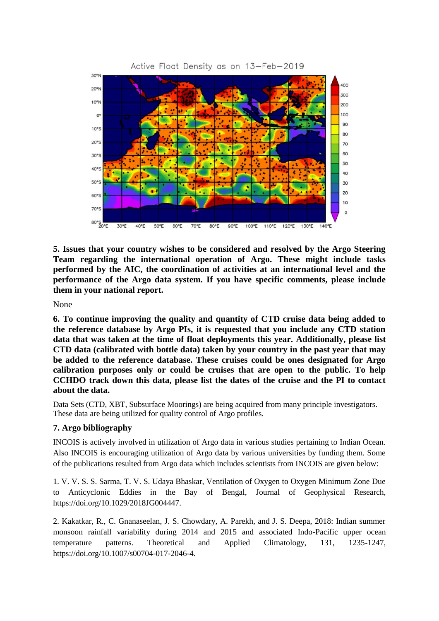

**5. Issues that your country wishes to be considered and resolved by the Argo Steering Team regarding the international operation of Argo. These might include tasks performed by the AIC, the coordination of activities at an international level and the performance of the Argo data system. If you have specific comments, please include them in your national report.**

None

**6. To continue improving the quality and quantity of CTD cruise data being added to the reference database by Argo PIs, it is requested that you include any CTD station data that was taken at the time of float deployments this year. Additionally, please list CTD data (calibrated with bottle data) taken by your country in the past year that may be added to the reference database. These cruises could be ones designated for Argo calibration purposes only or could be cruises that are open to the public. To help CCHDO track down this data, please list the dates of the cruise and the PI to contact about the data.**

Data Sets (CTD, XBT, Subsurface Moorings) are being acquired from many principle investigators. These data are being utilized for quality control of Argo profiles.

## **7. Argo bibliography**

INCOIS is actively involved in utilization of Argo data in various studies pertaining to Indian Ocean. Also INCOIS is encouraging utilization of Argo data by various universities by funding them. Some of the publications resulted from Argo data which includes scientists from INCOIS are given below:

1. V. V. S. S. Sarma, T. V. S. Udaya Bhaskar, Ventilation of Oxygen to Oxygen Minimum Zone Due to Anticyclonic Eddies in the Bay of Bengal, Journal of Geophysical Research, https://doi.org/10.1029/2018JG004447.

2. Kakatkar, R., C. Gnanaseelan, J. S. Chowdary, A. Parekh, and J. S. Deepa, 2018: Indian summer monsoon rainfall variability during 2014 and 2015 and associated Indo-Pacific upper ocean temperature patterns. Theoretical and Applied Climatology, 131, 1235-1247, https://doi.org/10.1007/s00704-017-2046-4.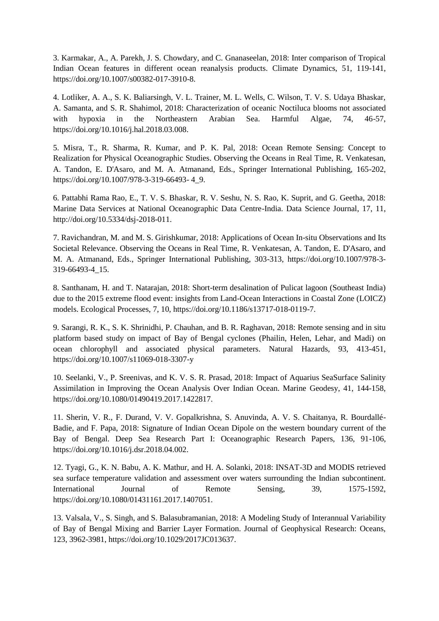3. Karmakar, A., A. Parekh, J. S. Chowdary, and C. Gnanaseelan, 2018: Inter comparison of Tropical Indian Ocean features in different ocean reanalysis products. Climate Dynamics, 51, 119-141, https://doi.org/10.1007/s00382-017-3910-8.

4. Lotliker, A. A., S. K. Baliarsingh, V. L. Trainer, M. L. Wells, C. Wilson, T. V. S. Udaya Bhaskar, A. Samanta, and S. R. Shahimol, 2018: Characterization of oceanic Noctiluca blooms not associated with hypoxia in the Northeastern Arabian Sea. Harmful Algae, 74, 46-57, https://doi.org/10.1016/j.hal.2018.03.008.

5. Misra, T., R. Sharma, R. Kumar, and P. K. Pal, 2018: Ocean Remote Sensing: Concept to Realization for Physical Oceanographic Studies. Observing the Oceans in Real Time, R. Venkatesan, A. Tandon, E. D'Asaro, and M. A. Atmanand, Eds., Springer International Publishing, 165-202, https://doi.org/10.1007/978-3-319-66493- 4\_9.

6. Pattabhi Rama Rao, E., T. V. S. Bhaskar, R. V. Seshu, N. S. Rao, K. Suprit, and G. Geetha, 2018: Marine Data Services at National Oceanographic Data Centre-India. Data Science Journal, 17, 11, http://doi.org/10.5334/dsj-2018-011.

7. Ravichandran, M. and M. S. Girishkumar, 2018: Applications of Ocean In-situ Observations and Its Societal Relevance. Observing the Oceans in Real Time, R. Venkatesan, A. Tandon, E. D'Asaro, and M. A. Atmanand, Eds., Springer International Publishing, 303-313, https://doi.org/10.1007/978-3- 319-66493-4\_15.

8. Santhanam, H. and T. Natarajan, 2018: Short-term desalination of Pulicat lagoon (Southeast India) due to the 2015 extreme flood event: insights from Land-Ocean Interactions in Coastal Zone (LOICZ) models. Ecological Processes, 7, 10, https://doi.org/10.1186/s13717-018-0119-7.

9. Sarangi, R. K., S. K. Shrinidhi, P. Chauhan, and B. R. Raghavan, 2018: Remote sensing and in situ platform based study on impact of Bay of Bengal cyclones (Phailin, Helen, Lehar, and Madi) on ocean chlorophyll and associated physical parameters. Natural Hazards, 93, 413-451, https://doi.org/10.1007/s11069-018-3307-y

10. Seelanki, V., P. Sreenivas, and K. V. S. R. Prasad, 2018: Impact of Aquarius SeaSurface Salinity Assimilation in Improving the Ocean Analysis Over Indian Ocean. Marine Geodesy, 41, 144-158, https://doi.org/10.1080/01490419.2017.1422817.

11. Sherin, V. R., F. Durand, V. V. Gopalkrishna, S. Anuvinda, A. V. S. Chaitanya, R. Bourdallé-Badie, and F. Papa, 2018: Signature of Indian Ocean Dipole on the western boundary current of the Bay of Bengal. Deep Sea Research Part I: Oceanographic Research Papers, 136, 91-106, https://doi.org/10.1016/j.dsr.2018.04.002.

12. Tyagi, G., K. N. Babu, A. K. Mathur, and H. A. Solanki, 2018: INSAT-3D and MODIS retrieved sea surface temperature validation and assessment over waters surrounding the Indian subcontinent. International Journal of Remote Sensing, 39, 1575-1592, https://doi.org/10.1080/01431161.2017.1407051.

13. Valsala, V., S. Singh, and S. Balasubramanian, 2018: A Modeling Study of Interannual Variability of Bay of Bengal Mixing and Barrier Layer Formation. Journal of Geophysical Research: Oceans, 123, 3962-3981, https://doi.org/10.1029/2017JC013637.